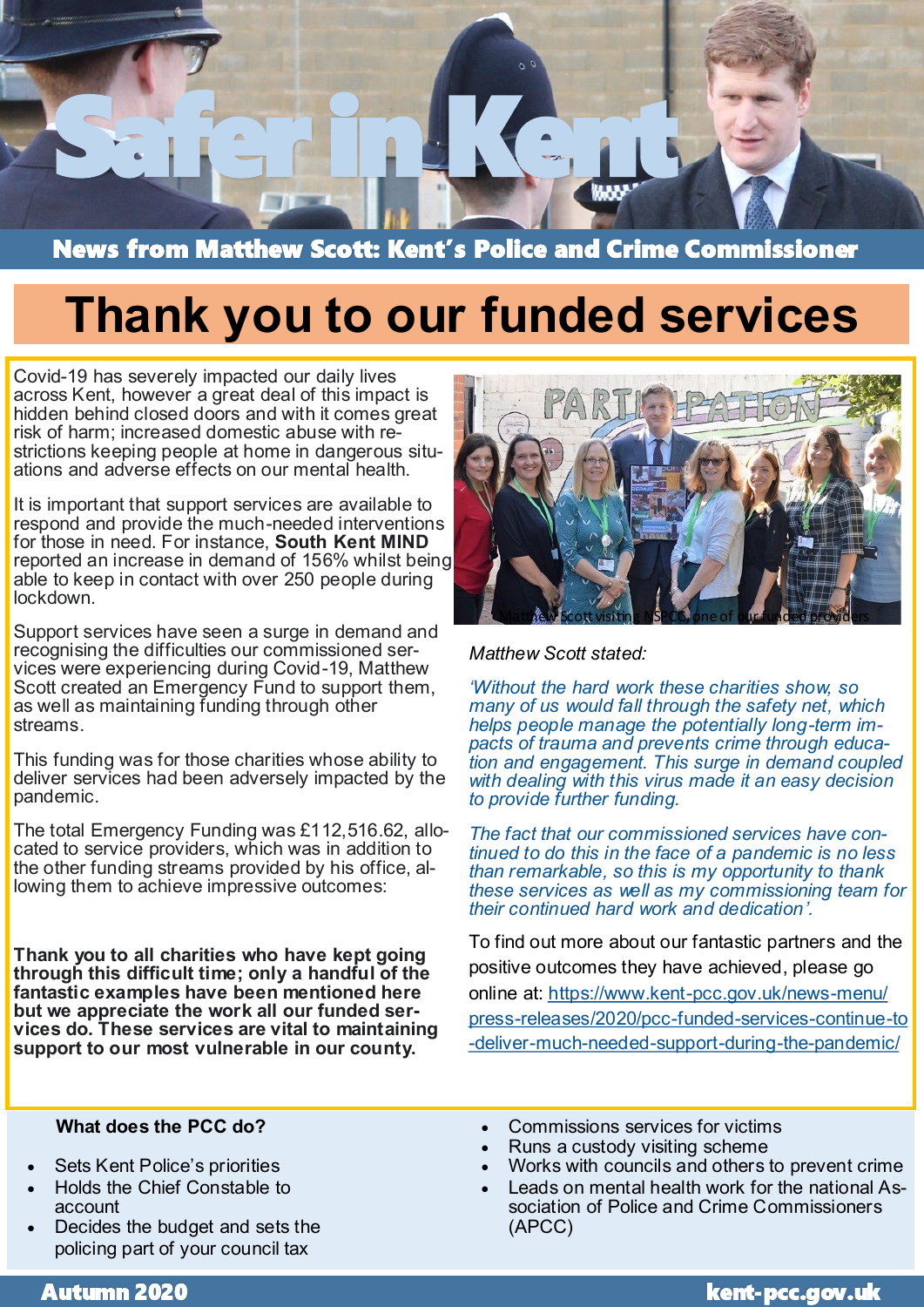

News from Matthew Scott: Kent's Police and Crime Commissioner

# **Thank you to our funded services**

Covid-19 has severely impacted our daily lives across Kent, however a great deal of this impact is hidden behind closed doors and with it comes great risk of harm; increased domestic abuse with restrictions keeping people at home in dangerous situations and adverse effects on our mental health.

It is important that support services are available to respond and provide the much-needed interventions for those in need. For instance, **South Kent MIND** reported an increase in demand of 156% whilst being able to keep in contact with over 250 people during lockdown.

Support services have seen a surge in demand and recognising the difficulties our commissioned services were experiencing during Covid-19, Matthew Scott created an Emergency Fund to support them, as well as maintaining funding through other streams.

This funding was for those charities whose ability to deliver services had been adversely impacted by the pandemic.

The total Emergency Funding was £112,516.62, allocated to service providers, which was in addition to the other funding streams provided by his office, allowing them to achieve impressive outcomes:

**Thank you to all charities who have kept going through this difficult time; only a handful of the fantastic examples have been mentioned here but we appreciate the work all our funded services do. These services are vital to maintaining support to our most vulnerable in our county.**



#### *Matthew Scott stated:*

*'Without the hard work these charities show, so many of us would fall through the safety net, which helps people manage the potentially long-term impacts of trauma and prevents crime through education and engagement. This surge in demand coupled with dealing with this virus made it an easy decision to provide further funding.*

*The fact that our commissioned services have continued to do this in the face of a pandemic is no less than remarkable, so this is my opportunity to thank these services as well as my commissioning team for their continued hard work and dedication'.*

To find out more about our fantastic partners and the positive outcomes they have achieved, please go online at: [https://www.kent](https://www.kent-pcc.gov.uk/news-menu/press-releases/2020/pcc-funded-services-continue-to-deliver-much-needed-support-during-the-pandemic/)-pcc.gov.uk/news-menu/ press-[releases/2020/pcc](https://www.kent-pcc.gov.uk/news-menu/press-releases/2020/pcc-funded-services-continue-to-deliver-much-needed-support-during-the-pandemic/)-funded-services-continue-to -deliver-much-needed-support-during-the-[pandemic/](https://www.kent-pcc.gov.uk/news-menu/press-releases/2020/pcc-funded-services-continue-to-deliver-much-needed-support-during-the-pandemic/)

#### **What does the PCC do?**

- Sets Kent Police's priorities
- Holds the Chief Constable to account
- Decides the budget and sets the policing part of your council tax
- Commissions services for victims
- Runs a custody visiting scheme
- Works with councils and others to prevent crime
- Leads on mental health work for the national Association of Police and Crime Commissioners (APCC)